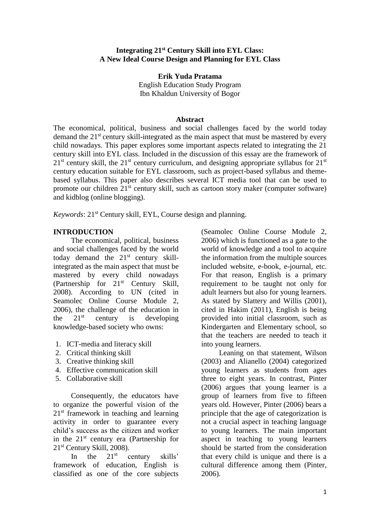#### **Integrating 21st Century Skill into EYL Class: A New Ideal Course Design and Planning for EYL Class**

**Erik Yuda Pratama** English Education Study Program Ibn Khaldun University of Bogor

#### **Abstract**

The economical, political, business and social challenges faced by the world today demand the 21<sup>st</sup> century skill-integrated as the main aspect that must be mastered by every child nowadays. This paper explores some important aspects related to integrating the 21 century skill into EYL class. Included in the discussion of this essay are the framework of  $21<sup>st</sup>$  century skill, the  $21<sup>st</sup>$  century curriculum, and designing appropriate syllabus for  $21<sup>st</sup>$ century education suitable for EYL classroom, such as project-based syllabus and themebased syllabus. This paper also describes several ICT media tool that can be used to promote our children  $21^{st}$  century skill, such as cartoon story maker (computer software) and kidblog (online blogging).

*Keywords*: 21<sup>st</sup> Century skill, EYL, Course design and planning.

#### **INTRODUCTION**

The economical, political, business and social challenges faced by the world today demand the  $21<sup>st</sup>$  century skillintegrated as the main aspect that must be mastered by every child nowadays (Partnership for 21<sup>st</sup> Century Skill, 2008). According to UN (cited in Seamolec Online Course Module 2, 2006), the challenge of the education in the  $21<sup>st</sup>$  century is developing knowledge-based society who owns:

- 1. ICT-media and literacy skill
- 2. Critical thinking skill
- 3. Creative thinking skill
- 4. Effective communication skill
- 5. Collaborative skill

Consequently, the educators have to organize the powerful vision of the  $21<sup>st</sup>$  framework in teaching and learning activity in order to guarantee every child's success as the citizen and worker in the 21st century era (Partnership for 21st Century Skill, 2008).

In the  $21<sup>st</sup>$  century skills' framework of education, English is classified as one of the core subjects (Seamolec Online Course Module 2, 2006) which is functioned as a gate to the world of knowledge and a tool to acquire the information from the multiple sources included website, e-book, e-journal, etc. For that reason, English is a primary requirement to be taught not only for adult learners but also for young learners. As stated by Slattery and Willis (2001), cited in Hakim (2011), English is being provided into initial classroom, such as Kindergarten and Elementary school, so that the teachers are needed to teach it into young learners.

Leaning on that statement, Wilson (2003) and Alianello (2004) categorized young learners as students from ages three to eight years. In contrast, Pinter (2006) argues that young learner is a group of learners from five to fifteen years old. However, Pinter (2006) bears a principle that the age of categorization is not a crucial aspect in teaching language to young learners. The main important aspect in teaching to young learners should be started from the consideration that every child is unique and there is a cultural difference among them (Pinter, 2006).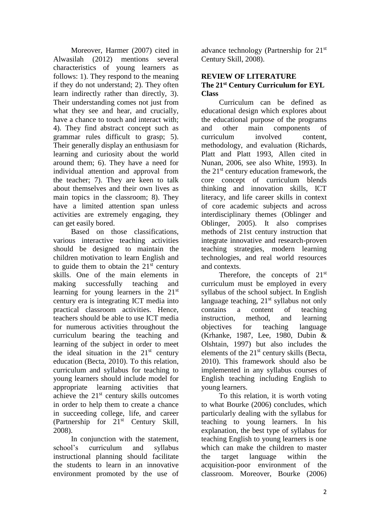Moreover, Harmer (2007) cited in Alwasilah (2012) mentions several characteristics of young learners as follows: 1). They respond to the meaning if they do not understand; 2). They often learn indirectly rather than directly, 3). Their understanding comes not just from what they see and hear, and crucially, have a chance to touch and interact with; 4). They find abstract concept such as grammar rules difficult to grasp; 5). Their generally display an enthusiasm for learning and curiosity about the world around them; 6). They have a need for individual attention and approval from the teacher; 7). They are keen to talk about themselves and their own lives as main topics in the classroom; 8). They have a limited attention span unless activities are extremely engaging, they can get easily bored.

Based on those classifications, various interactive teaching activities should be designed to maintain the children motivation to learn English and to guide them to obtain the  $21<sup>st</sup>$  century skills. One of the main elements in making successfully teaching and learning for young learners in the 21st century era is integrating ICT media into practical classroom activities. Hence, teachers should be able to use ICT media for numerous activities throughout the curriculum bearing the teaching and learning of the subject in order to meet the ideal situation in the  $21<sup>st</sup>$  century education (Becta, 2010). To this relation, curriculum and syllabus for teaching to young learners should include model for appropriate learning activities that achieve the  $21<sup>st</sup>$  century skills outcomes in order to help them to create a chance in succeeding college, life, and career (Partnership for 21st Century Skill, 2008).

In conjunction with the statement, school's curriculum and syllabus instructional planning should facilitate the students to learn in an innovative environment promoted by the use of advance technology (Partnership for 21st Century Skill, 2008).

### **REVIEW OF LITERATURE The 21st Century Curriculum for EYL Class**

Curriculum can be defined as educational design which explores about the educational purpose of the programs<br>and other main components of and other main components of curriculum involved content, methodology, and evaluation (Richards, Platt and Platt 1993, Allen cited in Nunan, 2006, see also White, 1993). In the  $21<sup>st</sup>$  century education framework, the core concept of curriculum blends thinking and innovation skills, ICT literacy, and life career skills in context of core academic subjects and across interdisciplinary themes (Oblinger and Oblinger, 2005). It also comprises methods of 21st century instruction that integrate innovative and research-proven teaching strategies, modern learning technologies, and real world resources and contexts.

Therefore, the concepts of  $21<sup>st</sup>$ curriculum must be employed in every syllabus of the school subject. In English language teaching,  $21<sup>st</sup>$  syllabus not only contains a content of teaching instruction, method, and learning objectives for teaching language (Krhanke, 1987, Lee, 1980, Dubin & Olshtain, 1997) but also includes the elements of the 21<sup>st</sup> century skills (Becta, 2010). This framework should also be implemented in any syllabus courses of English teaching including English to young learners.

To this relation, it is worth voting to what Bourke (2006) concludes, which particularly dealing with the syllabus for teaching to young learners. In his explanation, the best type of syllabus for teaching English to young learners is one which can make the children to master the target language within the acquisition-poor environment of the classroom. Moreover, Bourke (2006)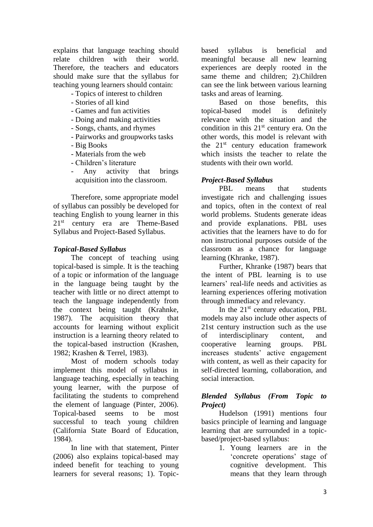explains that language teaching should relate children with their world. Therefore, the teachers and educators should make sure that the syllabus for teaching young learners should contain:

- Topics of interest to children
- Stories of all kind
- Games and fun activities
- Doing and making activities
- Songs, chants, and rhymes
- Pairworks and groupworks tasks
- Big Books
- Materials from the web
- Children's literature
- Any activity that brings acquisition into the classroom.

Therefore, some appropriate model of syllabus can possibly be developed for teaching English to young learner in this 21<sup>st</sup> century era are Theme-Based Syllabus and Project-Based Syllabus.

### *Topical-Based Syllabus*

The concept of teaching using topical-based is simple. It is the teaching of a topic or information of the language in the language being taught by the teacher with little or no direct attempt to teach the language independently from the context being taught (Krahnke, 1987). The acquisition theory that accounts for learning without explicit instruction is a learning theory related to the topical-based instruction (Krashen, 1982; Krashen & Terrel, 1983).

Most of modern schools today implement this model of syllabus in language teaching, especially in teaching young learner, with the purpose of facilitating the students to comprehend the element of language (Pinter, 2006). Topical-based seems to be most successful to teach young children (California State Board of Education, 1984).

In line with that statement, Pinter (2006) also explains topical-based may indeed benefit for teaching to young learners for several reasons; 1). Topicbased syllabus is beneficial and meaningful because all new learning experiences are deeply rooted in the same theme and children; 2).Children can see the link between various learning tasks and areas of learning.

Based on those benefits, this topical-based model is definitely relevance with the situation and the condition in this  $21<sup>st</sup>$  century era. On the other words, this model is relevant with the  $21<sup>st</sup>$  century education framework which insists the teacher to relate the students with their own world.

### *Project-Based Syllabus*

PBL means that students investigate rich and challenging issues and topics, often in the context of real world problems. Students generate ideas and provide explanations. PBL uses activities that the learners have to do for non instructional purposes outside of the classroom as a chance for language learning (Khranke, 1987).

Further, Khranke (1987) bears that the intent of PBL learning is to use learners' real-life needs and activities as learning experiences offering motivation through immediacy and relevancy.

In the  $21<sup>st</sup>$  century education, PBL models may also include other aspects of 21st century instruction such as the use of interdisciplinary content, and cooperative learning groups. PBL increases students' active engagement with content, as well as their capacity for self-directed learning, collaboration, and social interaction.

### *Blended Syllabus (From Topic to Project)*

Hudelson (1991) mentions four basics principle of learning and language learning that are surrounded in a topicbased/project-based syllabus:

1. Young learners are in the 'concrete operations' stage of cognitive development. This means that they learn through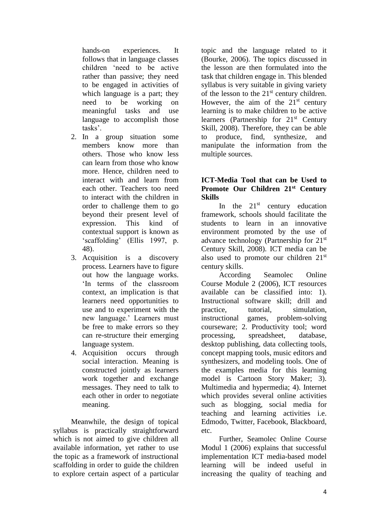hands-on experiences. It follows that in language classes children 'need to be active rather than passive; they need to be engaged in activities of which language is a part; they need to be working on meaningful tasks and use language to accomplish those tasks'.

- 2. In a group situation some members know more than others. Those who know less can learn from those who know more. Hence, children need to interact with and learn from each other. Teachers too need to interact with the children in order to challenge them to go beyond their present level of expression. This kind of contextual support is known as 'scaffolding' (Ellis 1997, p. 48).
- 3. Acquisition is a discovery process. Learners have to figure out how the language works. 'In terms of the classroom context, an implication is that learners need opportunities to use and to experiment with the new language.' Learners must be free to make errors so they can re-structure their emerging language system.
- 4. Acquisition occurs through social interaction. Meaning is constructed jointly as learners work together and exchange messages. They need to talk to each other in order to negotiate meaning.

Meanwhile, the design of topical syllabus is practically straightforward which is not aimed to give children all available information, yet rather to use the topic as a framework of instructional scaffolding in order to guide the children to explore certain aspect of a particular topic and the language related to it (Bourke, 2006). The topics discussed in the lesson are then formulated into the task that children engage in. This blended syllabus is very suitable in giving variety of the lesson to the  $21<sup>st</sup>$  century children. However, the aim of the  $21<sup>st</sup>$  century learning is to make children to be active learners (Partnership for  $21<sup>st</sup>$  Century Skill, 2008). Therefore, they can be able to produce, find, synthesize, and manipulate the information from the multiple sources.

### **ICT-Media Tool that can be Used to Promote Our Children 21st Century Skills**

In the  $21<sup>st</sup>$  century education framework, schools should facilitate the students to learn in an innovative environment promoted by the use of advance technology (Partnership for 21st Century Skill, 2008). ICT media can be also used to promote our children 21st century skills.

According Seamolec Online Course Module 2 (2006), ICT resources available can be classified into: 1). Instructional software skill; drill and practice, tutorial, simulation, instructional games, problem-solving courseware; 2. Productivity tool; word processing, spreadsheet, database, desktop publishing, data collecting tools, concept mapping tools, music editors and synthesizers, and modeling tools. One of the examples media for this learning model is Cartoon Story Maker; 3). Multimedia and hypermedia; 4). Internet which provides several online activities such as blogging, social media for teaching and learning activities i.e. Edmodo, Twitter, Facebook, Blackboard, etc.

Further, Seamolec Online Course Modul 1 (2006) explains that successful implementation ICT media-based model learning will be indeed useful in increasing the quality of teaching and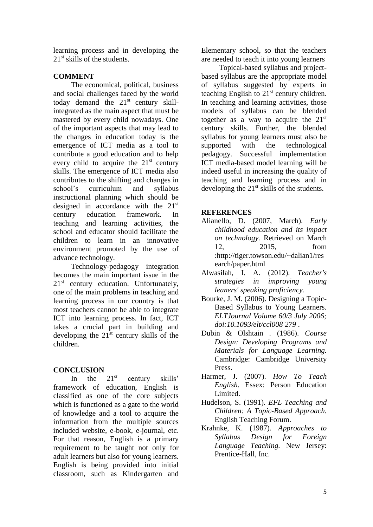learning process and in developing the 21<sup>st</sup> skills of the students.

## **COMMENT**

The economical, political, business and social challenges faced by the world today demand the  $21^{st}$  century skillintegrated as the main aspect that must be mastered by every child nowadays. One of the important aspects that may lead to the changes in education today is the emergence of ICT media as a tool to contribute a good education and to help every child to acquire the  $21<sup>st</sup>$  century skills. The emergence of ICT media also contributes to the shifting and changes in school's curriculum and syllabus instructional planning which should be designed in accordance with the 21st century education framework. In teaching and learning activities, the school and educator should facilitate the children to learn in an innovative environment promoted by the use of advance technology.

Technology-pedagogy integration becomes the main important issue in the 21<sup>st</sup> century education. Unfortunately, one of the main problems in teaching and learning process in our country is that most teachers cannot be able to integrate ICT into learning process. In fact, ICT takes a crucial part in building and developing the  $21<sup>st</sup>$  century skills of the children.

# **CONCLUSION**

In the  $21<sup>st</sup>$  century skills' framework of education, English is classified as one of the core subjects which is functioned as a gate to the world of knowledge and a tool to acquire the information from the multiple sources included website, e-book, e-journal, etc. For that reason, English is a primary requirement to be taught not only for adult learners but also for young learners. English is being provided into initial classroom, such as Kindergarten and

Elementary school, so that the teachers are needed to teach it into young learners

Topical-based syllabus and projectbased syllabus are the appropriate model of syllabus suggested by experts in teaching English to  $21<sup>st</sup>$  century children. In teaching and learning activities, those models of syllabus can be blended together as a way to acquire the  $21<sup>st</sup>$ century skills. Further, the blended syllabus for young learners must also be supported with the technological pedagogy. Successful implementation ICT media-based model learning will be indeed useful in increasing the quality of teaching and learning process and in developing the  $21<sup>st</sup>$  skills of the students.

### **REFERENCES**

- Alianello, D. (2007, March). *Early childhood education and its impact on technology.* Retrieved on March 12, 2015, from :http://tiger.towson.edu/~dalian1/res earch/paper.html
- Alwasilah, I. A. (2012). *Teacher's strategies in improving young leaners' speaking proficiency.*
- Bourke, J. M. (2006). Designing a Topic-Based Syllabus to Young Learners. *ELTJournal Volume 60/3 July 2006; doi:10.1093/elt/ccl008 279* .
- Dubin & Olshtain . (1986). *Course Design: Developing Programs and Materials for Language Learning.* Cambridge: Cambridge University Press.
- Harmer, J. (2007). *How To Teach English.* Essex: Person Education Limited.
- Hudelson, S. (1991). *EFL Teaching and Children: A Topic-Based Approach.*  English Teaching Forum.
- Krahnke, K. (1987). *Approaches to Syllabus Design for Foreign Language Teaching.* New Jersey: Prentice-Hall, Inc.